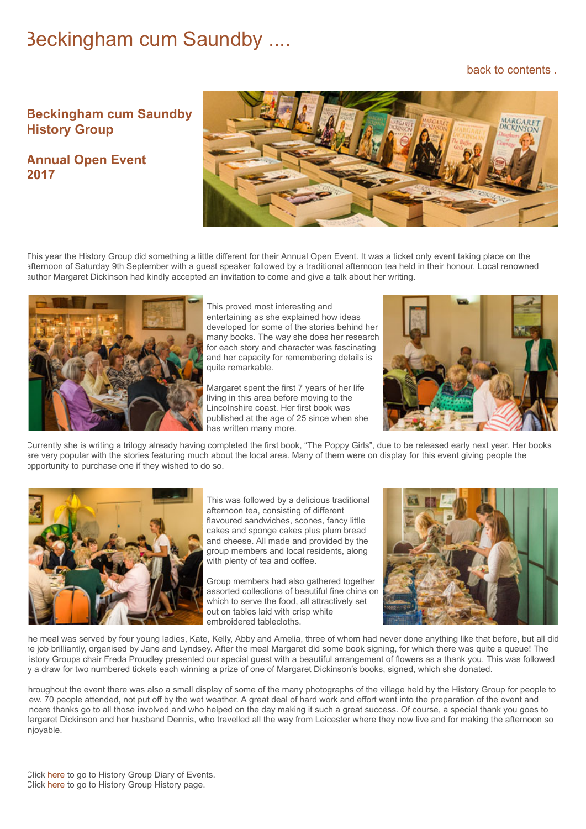## Beckingham cum Saundby ....

## [back to contents .](https://www.beckingham-northnotts.org.uk/contents.htm)

## **Beckingham cum Saundby History Group**

**Annual Open Event 2017**



This year the History Group did something a little different for their Annual Open Event. It was a ticket only event taking place on the afternoon of Saturday 9th September with a guest speaker followed by a traditional afternoon tea held in their honour. Local renowned author Margaret Dickinson had kindly accepted an invitation to come and give a talk about her writing.



This proved most interesting and entertaining as she explained how ideas developed for some of the stories behind her many books. The way she does her research for each story and character was fascinating and her capacity for remembering details is quite remarkable.

Margaret spent the first 7 years of her life living in this area before moving to the Lincolnshire coast. Her first book was published at the age of 25 since when she has written many more.



Currently she is writing a trilogy already having completed the first book, "The Poppy Girls", due to be released early next year. Her books are very popular with the stories featuring much about the local area. Many of them were on display for this event giving people the opportunity to purchase one if they wished to do so.



This was followed by a delicious traditional afternoon tea, consisting of different flavoured sandwiches, scones, fancy little cakes and sponge cakes plus plum bread and cheese. All made and provided by the group members and local residents, along with plenty of tea and coffee.

Group members had also gathered together assorted collections of beautiful fine china on which to serve the food, all attractively set out on tables laid with crisp white embroidered tablecloths.



he meal was served by four young ladies, Kate, Kelly, Abby and Amelia, three of whom had never done anything like that before, but all did he job brilliantly, organised by Jane and Lyndsey. After the meal Margaret did some book signing, for which there was quite a queue! The istory Groups chair Freda Proudley presented our special guest with a beautiful arrangement of flowers as a thank you. This was followed y a draw for two numbered tickets each winning a prize of one of Margaret Dickinson's books, signed, which she donated.

hroughout the event there was also a small display of some of the many photographs of the village held by the History Group for people to ew. 70 people attended, not put off by the wet weather. A great deal of hard work and effort went into the preparation of the event and ncere thanks go to all those involved and who helped on the day making it such a great success. Of course, a special thank you goes to largaret Dickinson and her husband Dennis, who travelled all the way from Leicester where they now live and for making the afternoon so njoyable.